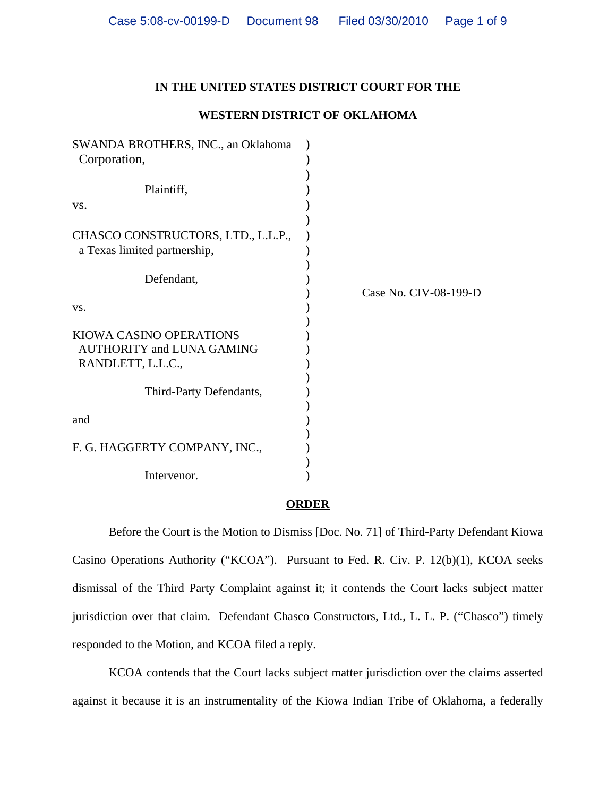## **IN THE UNITED STATES DISTRICT COURT FOR THE**

### **WESTERN DISTRICT OF OKLAHOMA**

| SWANDA BROTHERS, INC., an Oklahoma<br>Corporation,                                      |                       |
|-----------------------------------------------------------------------------------------|-----------------------|
| Plaintiff,                                                                              |                       |
| VS.                                                                                     |                       |
| CHASCO CONSTRUCTORS, LTD., L.L.P.,<br>a Texas limited partnership,                      |                       |
| Defendant,                                                                              |                       |
| VS.                                                                                     | Case No. CIV-08-199-D |
| <b>KIOWA CASINO OPERATIONS</b><br><b>AUTHORITY and LUNA GAMING</b><br>RANDLETT, L.L.C., |                       |
| Third-Party Defendants,                                                                 |                       |
| and                                                                                     |                       |
| F. G. HAGGERTY COMPANY, INC.,                                                           |                       |
| Intervenor.                                                                             |                       |

#### **ORDER**

Before the Court is the Motion to Dismiss [Doc. No. 71] of Third-Party Defendant Kiowa Casino Operations Authority ("KCOA"). Pursuant to Fed. R. Civ. P. 12(b)(1), KCOA seeks dismissal of the Third Party Complaint against it; it contends the Court lacks subject matter jurisdiction over that claim. Defendant Chasco Constructors, Ltd., L. L. P. ("Chasco") timely responded to the Motion, and KCOA filed a reply.

KCOA contends that the Court lacks subject matter jurisdiction over the claims asserted against it because it is an instrumentality of the Kiowa Indian Tribe of Oklahoma, a federally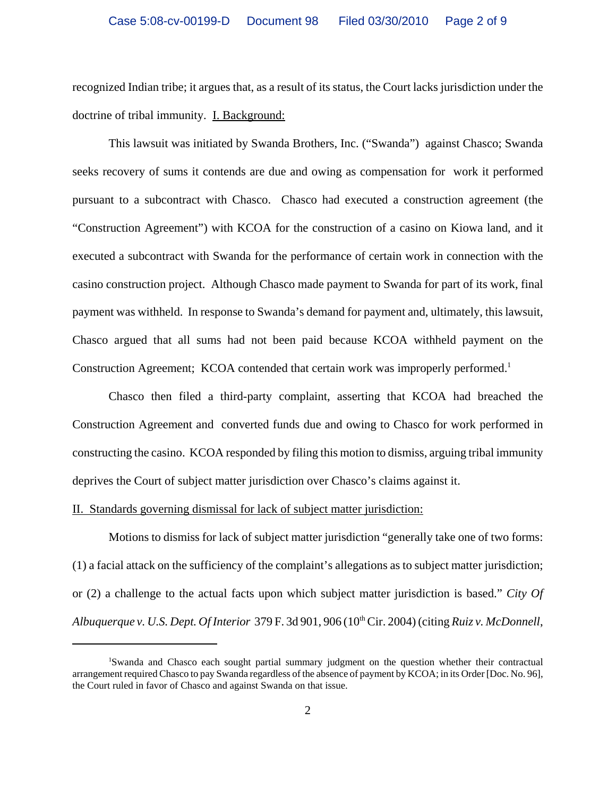recognized Indian tribe; it argues that, as a result of its status, the Court lacks jurisdiction under the doctrine of tribal immunity. **I. Background:** 

This lawsuit was initiated by Swanda Brothers, Inc. ("Swanda") against Chasco; Swanda seeks recovery of sums it contends are due and owing as compensation for work it performed pursuant to a subcontract with Chasco. Chasco had executed a construction agreement (the "Construction Agreement") with KCOA for the construction of a casino on Kiowa land, and it executed a subcontract with Swanda for the performance of certain work in connection with the casino construction project. Although Chasco made payment to Swanda for part of its work, final payment was withheld. In response to Swanda's demand for payment and, ultimately, this lawsuit, Chasco argued that all sums had not been paid because KCOA withheld payment on the Construction Agreement; KCOA contended that certain work was improperly performed.<sup>1</sup>

Chasco then filed a third-party complaint, asserting that KCOA had breached the Construction Agreement and converted funds due and owing to Chasco for work performed in constructing the casino. KCOA responded by filing this motion to dismiss, arguing tribal immunity deprives the Court of subject matter jurisdiction over Chasco's claims against it.

## II. Standards governing dismissal for lack of subject matter jurisdiction:

Motions to dismiss for lack of subject matter jurisdiction "generally take one of two forms: (1) a facial attack on the sufficiency of the complaint's allegations as to subject matter jurisdiction; or (2) a challenge to the actual facts upon which subject matter jurisdiction is based." *City Of Albuquerque v. U.S. Dept. Of Interior* 379 F. 3d 901, 906 (10th Cir. 2004) (citing *Ruiz v. McDonnell*,

<sup>1</sup> Swanda and Chasco each sought partial summary judgment on the question whether their contractual arrangement required Chasco to pay Swanda regardless of the absence of payment by KCOA; in its Order [Doc. No. 96], the Court ruled in favor of Chasco and against Swanda on that issue.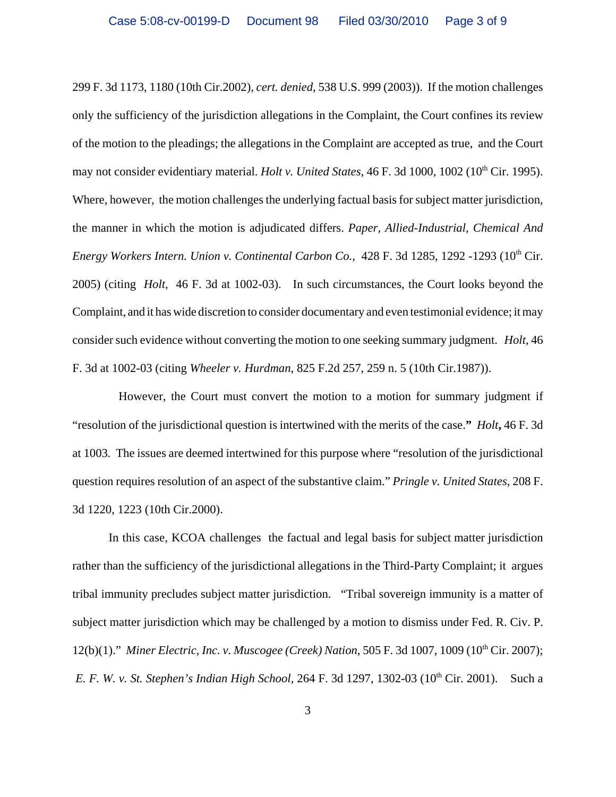299 F. 3d 1173, 1180 (10th Cir.2002), *cert. denied*, 538 U.S. 999 (2003)). If the motion challenges only the sufficiency of the jurisdiction allegations in the Complaint, the Court confines its review of the motion to the pleadings; the allegations in the Complaint are accepted as true, and the Court may not consider evidentiary material. *Holt v. United States*, 46 F. 3d 1000, 1002 (10<sup>th</sup> Cir. 1995). Where, however, the motion challenges the underlying factual basis for subject matter jurisdiction, the manner in which the motion is adjudicated differs. *Paper, Allied-Industrial, Chemical And Energy Workers Intern. Union v. Continental Carbon Co., 428 F. 3d 1285, 1292 -1293 (10<sup>th</sup> Cir.* 2005) (citing *Holt,* 46 F. 3d at 1002-03).In such circumstances, the Court looks beyond the Complaint, and it has wide discretion to consider documentary and even testimonial evidence; it may consider such evidence without converting the motion to one seeking summary judgment. *Holt*, 46 F. 3d at 1002-03 (citing *Wheeler v. Hurdman*, 825 F.2d 257, 259 n. 5 (10th Cir.1987)).

 However, the Court must convert the motion to a motion for summary judgment if "resolution of the jurisdictional question is intertwined with the merits of the case.**"** *Holt***,** 46 F. 3d at 1003*.* The issues are deemed intertwined for this purpose where "resolution of the jurisdictional question requires resolution of an aspect of the substantive claim." *Pringle v. United States*, 208 F. 3d 1220, 1223 (10th Cir.2000).

 In this case, KCOA challenges the factual and legal basis for subject matter jurisdiction rather than the sufficiency of the jurisdictional allegations in the Third-Party Complaint; it argues tribal immunity precludes subject matter jurisdiction. "Tribal sovereign immunity is a matter of subject matter jurisdiction which may be challenged by a motion to dismiss under Fed. R. Civ. P. 12(b)(1)." *Miner Electric, Inc. v. Muscogee (Creek) Nation*, 505 F. 3d 1007, 1009 (10<sup>th</sup> Cir. 2007); *E. F. W. v. St. Stephen's Indian High School*, 264 F. 3d 1297, 1302-03 (10<sup>th</sup> Cir. 2001). Such a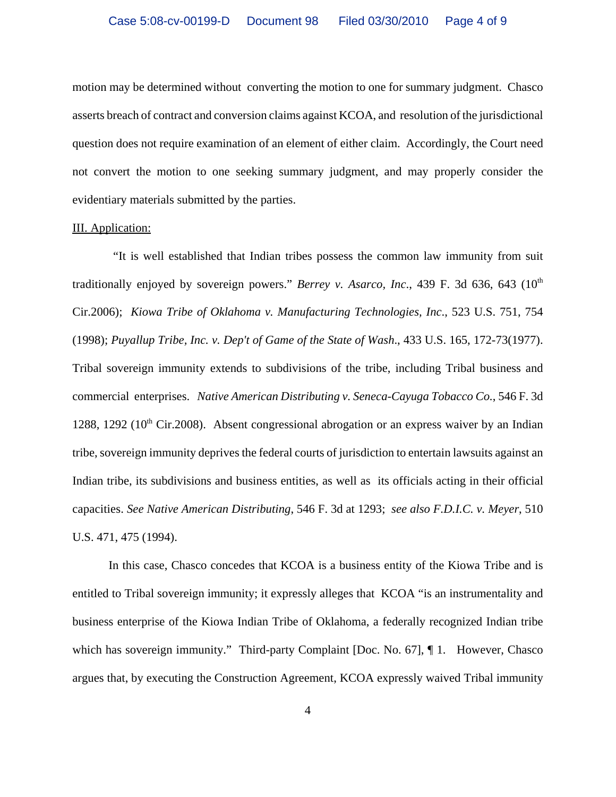motion may be determined without converting the motion to one for summary judgment. Chasco asserts breach of contract and conversion claims against KCOA, and resolution of the jurisdictional question does not require examination of an element of either claim. Accordingly, the Court need not convert the motion to one seeking summary judgment, and may properly consider the evidentiary materials submitted by the parties.

#### III. Application:

 "It is well established that Indian tribes possess the common law immunity from suit traditionally enjoyed by sovereign powers." *Berrey v. Asarco, Inc.*, 439 F. 3d 636, 643 (10<sup>th</sup>) Cir.2006); *Kiowa Tribe of Oklahoma v. Manufacturing Technologies, Inc*., 523 U.S. 751, 754 (1998); *Puyallup Tribe, Inc. v. Dep't of Game of the State of Wash*., 433 U.S. 165, 172-73(1977). Tribal sovereign immunity extends to subdivisions of the tribe, including Tribal business and commercial enterprises. *Native American Distributing v. Seneca-Cayuga Tobacco Co.*, 546 F. 3d 1288, 1292 ( $10<sup>th</sup>$  Cir.2008). Absent congressional abrogation or an express waiver by an Indian tribe, sovereign immunity deprives the federal courts of jurisdiction to entertain lawsuits against an Indian tribe, its subdivisions and business entities, as well as its officials acting in their official capacities. *See Native American Distributing*, 546 F. 3d at 1293; *see also F.D.I.C. v. Meyer*, 510 U.S. 471, 475 (1994).

In this case, Chasco concedes that KCOA is a business entity of the Kiowa Tribe and is entitled to Tribal sovereign immunity; it expressly alleges that KCOA "is an instrumentality and business enterprise of the Kiowa Indian Tribe of Oklahoma, a federally recognized Indian tribe which has sovereign immunity." Third-party Complaint [Doc. No. 67],  $\P$  1. However, Chasco argues that, by executing the Construction Agreement, KCOA expressly waived Tribal immunity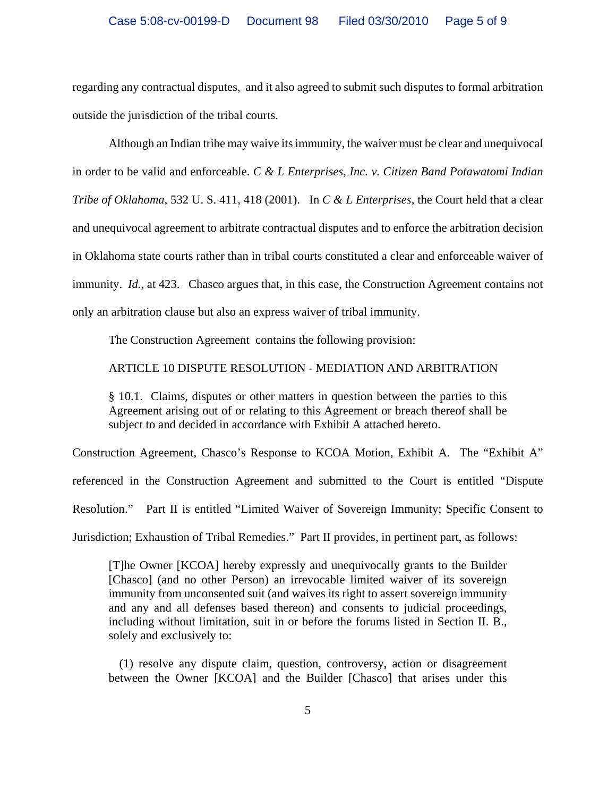regarding any contractual disputes, and it also agreed to submit such disputes to formal arbitration outside the jurisdiction of the tribal courts.

Although an Indian tribe may waive its immunity, the waiver must be clear and unequivocal in order to be valid and enforceable. *C & L Enterprises, Inc. v. Citizen Band Potawatomi Indian Tribe of Oklahoma*, 532 U. S. 411, 418 (2001). In *C & L Enterprises,* the Court held that a clear and unequivocal agreement to arbitrate contractual disputes and to enforce the arbitration decision in Oklahoma state courts rather than in tribal courts constituted a clear and enforceable waiver of immunity. *Id.*, at 423. Chasco argues that, in this case, the Construction Agreement contains not only an arbitration clause but also an express waiver of tribal immunity.

The Construction Agreement contains the following provision:

ARTICLE 10 DISPUTE RESOLUTION - MEDIATION AND ARBITRATION

§ 10.1. Claims, disputes or other matters in question between the parties to this Agreement arising out of or relating to this Agreement or breach thereof shall be subject to and decided in accordance with Exhibit A attached hereto.

Construction Agreement, Chasco's Response to KCOA Motion, Exhibit A. The "Exhibit A" referenced in the Construction Agreement and submitted to the Court is entitled "Dispute Resolution." Part II is entitled "Limited Waiver of Sovereign Immunity; Specific Consent to Jurisdiction; Exhaustion of Tribal Remedies." Part II provides, in pertinent part, as follows:

[T]he Owner [KCOA] hereby expressly and unequivocally grants to the Builder [Chasco] (and no other Person) an irrevocable limited waiver of its sovereign immunity from unconsented suit (and waives its right to assert sovereign immunity and any and all defenses based thereon) and consents to judicial proceedings, including without limitation, suit in or before the forums listed in Section II. B., solely and exclusively to:

 (1) resolve any dispute claim, question, controversy, action or disagreement between the Owner [KCOA] and the Builder [Chasco] that arises under this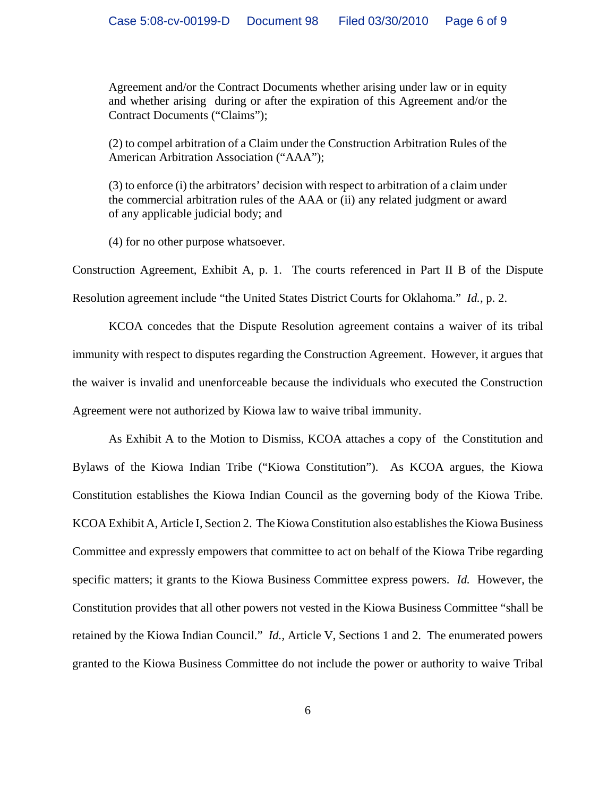Agreement and/or the Contract Documents whether arising under law or in equity and whether arising during or after the expiration of this Agreement and/or the Contract Documents ("Claims");

(2) to compel arbitration of a Claim under the Construction Arbitration Rules of the American Arbitration Association ("AAA");

(3) to enforce (i) the arbitrators' decision with respect to arbitration of a claim under the commercial arbitration rules of the AAA or (ii) any related judgment or award of any applicable judicial body; and

(4) for no other purpose whatsoever.

Construction Agreement, Exhibit A, p. 1. The courts referenced in Part II B of the Dispute Resolution agreement include "the United States District Courts for Oklahoma." *Id.,* p. 2.

KCOA concedes that the Dispute Resolution agreement contains a waiver of its tribal immunity with respect to disputes regarding the Construction Agreement. However, it argues that the waiver is invalid and unenforceable because the individuals who executed the Construction Agreement were not authorized by Kiowa law to waive tribal immunity.

As Exhibit A to the Motion to Dismiss, KCOA attaches a copy of the Constitution and Bylaws of the Kiowa Indian Tribe ("Kiowa Constitution"). As KCOA argues, the Kiowa Constitution establishes the Kiowa Indian Council as the governing body of the Kiowa Tribe. KCOA Exhibit A, Article I, Section 2. The Kiowa Constitution also establishes the Kiowa Business Committee and expressly empowers that committee to act on behalf of the Kiowa Tribe regarding specific matters; it grants to the Kiowa Business Committee express powers. *Id.* However, the Constitution provides that all other powers not vested in the Kiowa Business Committee "shall be retained by the Kiowa Indian Council." *Id.,* Article V, Sections 1 and 2. The enumerated powers granted to the Kiowa Business Committee do not include the power or authority to waive Tribal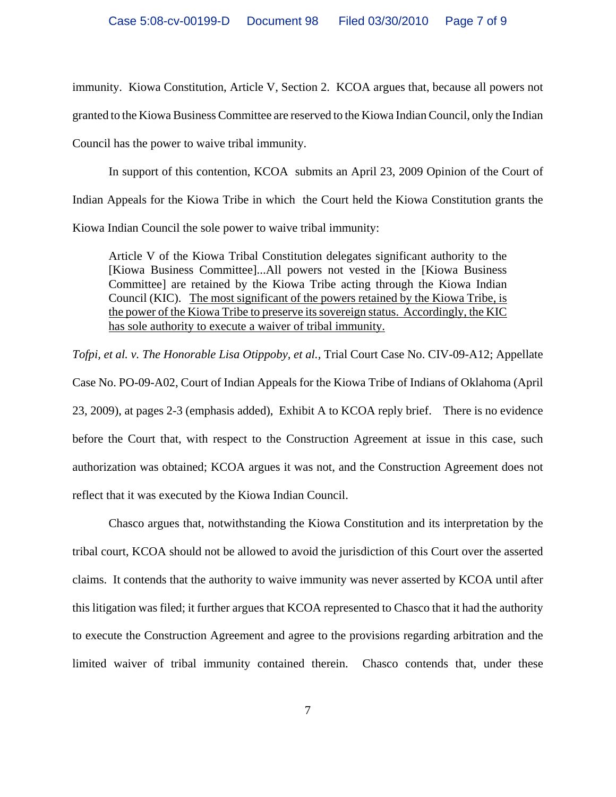immunity. Kiowa Constitution, Article V, Section 2. KCOA argues that, because all powers not granted to the Kiowa Business Committee are reserved to the Kiowa Indian Council, only the Indian Council has the power to waive tribal immunity.

In support of this contention, KCOA submits an April 23, 2009 Opinion of the Court of Indian Appeals for the Kiowa Tribe in which the Court held the Kiowa Constitution grants the Kiowa Indian Council the sole power to waive tribal immunity:

Article V of the Kiowa Tribal Constitution delegates significant authority to the [Kiowa Business Committee]...All powers not vested in the [Kiowa Business Committee] are retained by the Kiowa Tribe acting through the Kiowa Indian Council (KIC). The most significant of the powers retained by the Kiowa Tribe, is the power of the Kiowa Tribe to preserve its sovereign status. Accordingly, the KIC has sole authority to execute a waiver of tribal immunity.

*Tofpi, et al. v. The Honorable Lisa Otippoby, et al.,* Trial Court Case No. CIV-09-A12; Appellate Case No. PO-09-A02, Court of Indian Appeals for the Kiowa Tribe of Indians of Oklahoma (April 23, 2009), at pages 2-3 (emphasis added), Exhibit A to KCOA reply brief. There is no evidence before the Court that, with respect to the Construction Agreement at issue in this case, such authorization was obtained; KCOA argues it was not, and the Construction Agreement does not reflect that it was executed by the Kiowa Indian Council.

Chasco argues that, notwithstanding the Kiowa Constitution and its interpretation by the tribal court, KCOA should not be allowed to avoid the jurisdiction of this Court over the asserted claims. It contends that the authority to waive immunity was never asserted by KCOA until after this litigation was filed; it further argues that KCOA represented to Chasco that it had the authority to execute the Construction Agreement and agree to the provisions regarding arbitration and the limited waiver of tribal immunity contained therein. Chasco contends that, under these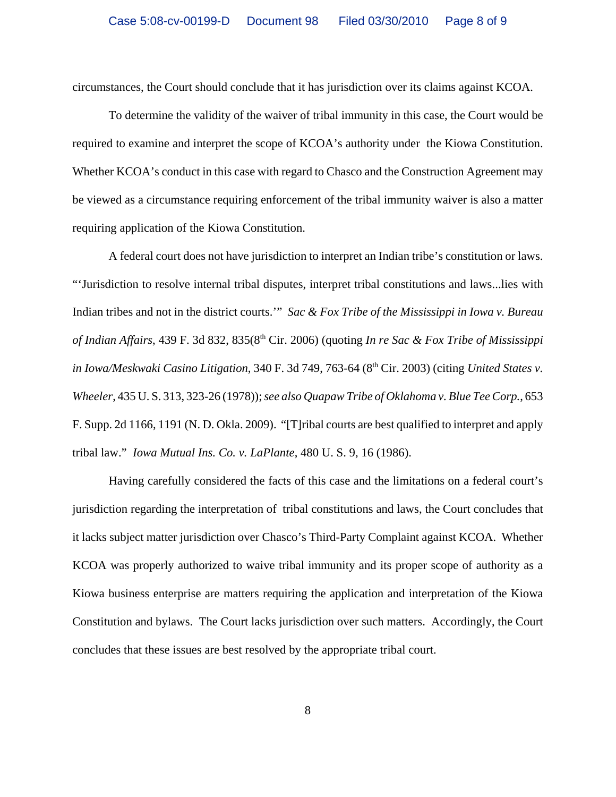circumstances, the Court should conclude that it has jurisdiction over its claims against KCOA.

To determine the validity of the waiver of tribal immunity in this case, the Court would be required to examine and interpret the scope of KCOA's authority under the Kiowa Constitution. Whether KCOA's conduct in this case with regard to Chasco and the Construction Agreement may be viewed as a circumstance requiring enforcement of the tribal immunity waiver is also a matter requiring application of the Kiowa Constitution.

A federal court does not have jurisdiction to interpret an Indian tribe's constitution or laws. "'Jurisdiction to resolve internal tribal disputes, interpret tribal constitutions and laws...lies with Indian tribes and not in the district courts.'" *Sac & Fox Tribe of the Mississippi in Iowa v. Bureau of Indian Affairs*, 439 F. 3d 832, 835(8th Cir. 2006) (quoting *In re Sac & Fox Tribe of Mississippi in Iowa/Meskwaki Casino Litigation*, 340 F. 3d 749, 763-64 (8<sup>th</sup> Cir. 2003) (citing *United States v. Wheeler*, 435 U. S. 313, 323-26 (1978)); *see also Quapaw Tribe of Oklahoma v. Blue Tee Corp.*, 653 F. Supp. 2d 1166, 1191 (N. D. Okla. 2009). "[T]ribal courts are best qualified to interpret and apply tribal law." *Iowa Mutual Ins. Co. v. LaPlante*, 480 U. S. 9, 16 (1986).

Having carefully considered the facts of this case and the limitations on a federal court's jurisdiction regarding the interpretation of tribal constitutions and laws, the Court concludes that it lacks subject matter jurisdiction over Chasco's Third-Party Complaint against KCOA. Whether KCOA was properly authorized to waive tribal immunity and its proper scope of authority as a Kiowa business enterprise are matters requiring the application and interpretation of the Kiowa Constitution and bylaws. The Court lacks jurisdiction over such matters. Accordingly, the Court concludes that these issues are best resolved by the appropriate tribal court.